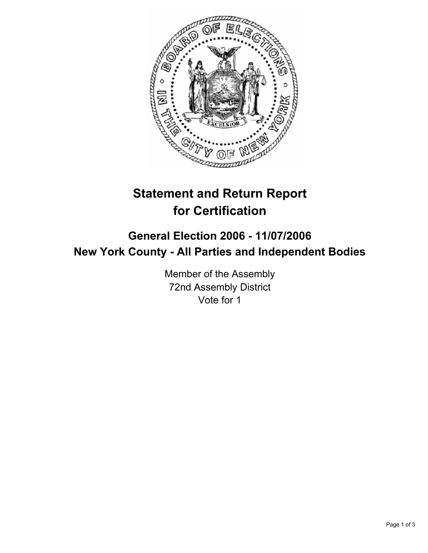

# **Statement and Return Report for Certification**

## **General Election 2006 - 11/07/2006 New York County - All Parties and Independent Bodies**

Member of the Assembly 72nd Assembly District Vote for 1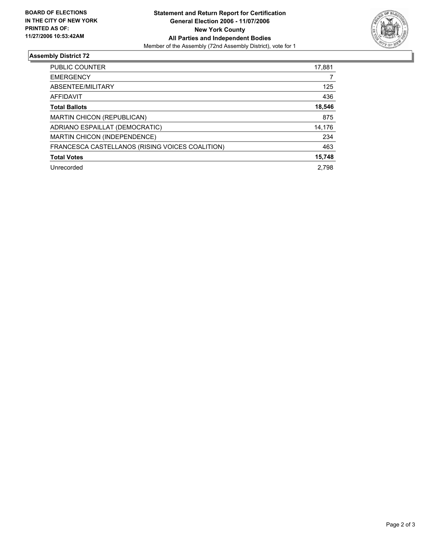

### **Assembly District 72**

| PUBLIC COUNTER                                  | 17,881 |
|-------------------------------------------------|--------|
| <b>EMERGENCY</b>                                |        |
| ABSENTEE/MILITARY                               | 125    |
| AFFIDAVIT                                       | 436    |
| <b>Total Ballots</b>                            | 18,546 |
| MARTIN CHICON (REPUBLICAN)                      | 875    |
| ADRIANO ESPAILLAT (DEMOCRATIC)                  | 14,176 |
| MARTIN CHICON (INDEPENDENCE)                    | 234    |
| FRANCESCA CASTELLANOS (RISING VOICES COALITION) | 463    |
| <b>Total Votes</b>                              | 15,748 |
| Unrecorded                                      | 2.798  |